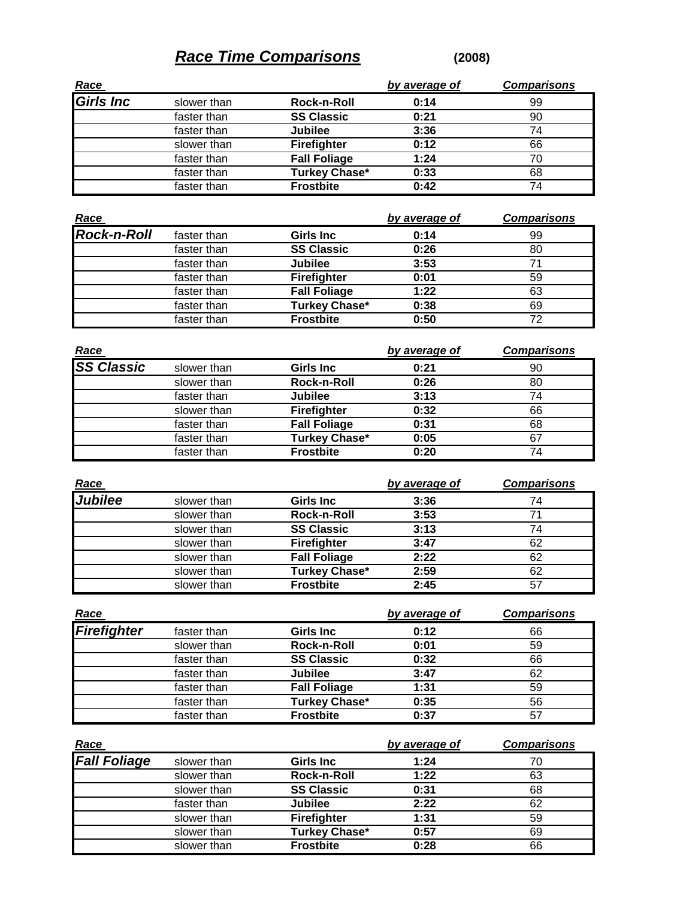## **Race Time Comparisons (2008)**

| <u>Race</u>      |             |                      | by average of | <b>Comparisons</b> |
|------------------|-------------|----------------------|---------------|--------------------|
| <b>Girls Inc</b> | slower than | Rock-n-Roll          | 0:14          | 99                 |
|                  | faster than | <b>SS Classic</b>    | 0:21          | 90                 |
|                  | faster than | <b>Jubilee</b>       | 3:36          | 74                 |
|                  | slower than | <b>Firefighter</b>   | 0:12          | 66                 |
|                  | faster than | <b>Fall Foliage</b>  | 1:24          | 70                 |
|                  | faster than | <b>Turkey Chase*</b> | 0:33          | 68                 |
|                  | faster than | <b>Frostbite</b>     | 0:42          | 74                 |

| <u>Race</u>        |             |                      | by average of | <b>Comparisons</b> |
|--------------------|-------------|----------------------|---------------|--------------------|
| <b>Rock-n-Roll</b> | faster than | <b>Girls Inc.</b>    | 0:14          | 99                 |
|                    | faster than | <b>SS Classic</b>    | 0:26          | 80                 |
|                    | faster than | <b>Jubilee</b>       | 3:53          | 71                 |
|                    | faster than | <b>Firefighter</b>   | 0:01          | 59                 |
|                    | faster than | <b>Fall Foliage</b>  | 1:22          | 63                 |
|                    | faster than | <b>Turkey Chase*</b> | 0:38          | 69                 |
|                    | faster than | <b>Frostbite</b>     | 0:50          | 72                 |

|                    |             |                      | by average of | <b>Comparisons</b> |
|--------------------|-------------|----------------------|---------------|--------------------|
| Race<br>SS Classic | slower than | <b>Girls Inc.</b>    | 0:21          | 90                 |
|                    | slower than | Rock-n-Roll          | 0:26          | 80                 |
|                    | faster than | <b>Jubilee</b>       | 3:13          | 74                 |
|                    | slower than | <b>Firefighter</b>   | 0:32          | 66                 |
|                    | faster than | <b>Fall Foliage</b>  | 0:31          | 68                 |
|                    | faster than | <b>Turkey Chase*</b> | 0:05          | 67                 |
|                    | faster than | <b>Frostbite</b>     | 0:20          | 74                 |

| <u>Race</u>    |             |                      | by average of | <b>Comparisons</b> |
|----------------|-------------|----------------------|---------------|--------------------|
| <b>Jubilee</b> | slower than | <b>Girls Inc.</b>    | 3:36          | 74                 |
|                | slower than | Rock-n-Roll          | 3:53          | 71                 |
|                | slower than | <b>SS Classic</b>    | 3:13          | 74                 |
|                | slower than | <b>Firefighter</b>   | 3:47          | 62                 |
|                | slower than | <b>Fall Foliage</b>  | 2:22          | 62                 |
|                | slower than | <b>Turkey Chase*</b> | 2:59          | 62                 |
|                | slower than | <b>Frostbite</b>     | 2:45          | 57                 |

| Race               |             |                      | by average of | <b>Comparisons</b> |
|--------------------|-------------|----------------------|---------------|--------------------|
| <b>Firefighter</b> | faster than | <b>Girls Inc.</b>    | 0:12          | 66                 |
|                    | slower than | Rock-n-Roll          | 0:01          | 59                 |
|                    | faster than | <b>SS Classic</b>    | 0:32          | 66                 |
|                    | faster than | <b>Jubilee</b>       | 3:47          | 62                 |
|                    | faster than | <b>Fall Foliage</b>  | 1:31          | 59                 |
|                    | faster than | <b>Turkey Chase*</b> | 0:35          | 56                 |
|                    | faster than | <b>Frostbite</b>     | 0:37          | 57                 |

| <u>Race</u>         |             |                      | by average of | <b>Comparisons</b> |
|---------------------|-------------|----------------------|---------------|--------------------|
| <b>Fall Foliage</b> | slower than | <b>Girls Inc</b>     | 1:24          | 70                 |
|                     | slower than | Rock-n-Roll          | 1:22          | 63                 |
|                     | slower than | <b>SS Classic</b>    | 0:31          | 68                 |
|                     | faster than | <b>Jubilee</b>       | 2:22          | 62                 |
|                     | slower than | Firefighter          | 1:31          | 59                 |
|                     | slower than | <b>Turkey Chase*</b> | 0:57          | 69                 |
|                     | slower than | <b>Frostbite</b>     | 0:28          | 66                 |